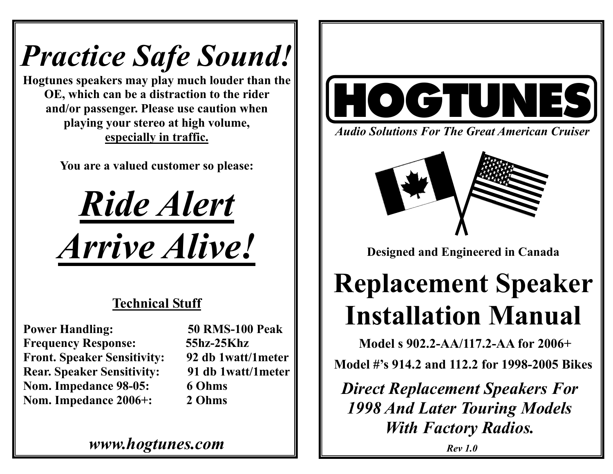# *Practice Safe Sound!*

**Hogtunes speakers may play much louder than the OE, which can be a distraction to the rider and/or passenger. Please use caution when playing your stereo at high volume, especially in traffic.** 

**You are a valued customer so please:** 



## **Technical Stuff**

**Power Handling: 50 RMS-100 Peak Frequency Response: 55hz-25Khz Front. Speaker Sensitivity: 92 db 1watt/1meter Rear. Speaker Sensitivity: 91 db 1watt/1meter Nom. Impedance 98-05: 6 Ohms Nom. Impedance 2006+: 2 Ohms** 

*www.hogtunes.com* 



*Audio Solutions For The Great American Cruiser* 



**Designed and Engineered in Canada** 

## **Replacement Speaker Installation Manual**

**Model s 902.2-AA/117.2-AA for 2006+** 

**Model #'s 914.2 and 112.2 for 1998-2005 Bikes** 

*Direct Replacement Speakers For 1998 And Later Touring Models With Factory Radios.*